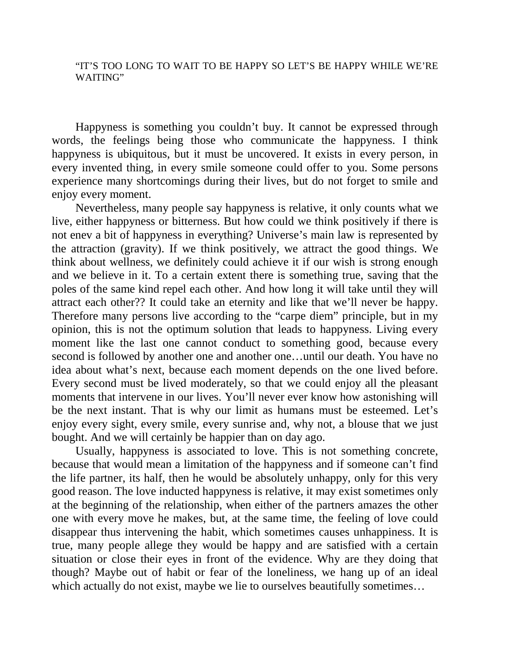## "IT'S TOO LONG TO WAIT TO BE HAPPY SO LET'S BE HAPPY WHILE WE'RE WAITING"

 Happyness is something you couldn't buy. It cannot be expressed through words, the feelings being those who communicate the happyness. I think happyness is ubiquitous, but it must be uncovered. It exists in every person, in every invented thing, in every smile someone could offer to you. Some persons experience many shortcomings during their lives, but do not forget to smile and enjoy every moment.

 Nevertheless, many people say happyness is relative, it only counts what we live, either happyness or bitterness. But how could we think positively if there is not enev a bit of happyness in everything? Universe's main law is represented by the attraction (gravity). If we think positively, we attract the good things. We think about wellness, we definitely could achieve it if our wish is strong enough and we believe in it. To a certain extent there is something true, saving that the poles of the same kind repel each other. And how long it will take until they will attract each other?? It could take an eternity and like that we'll never be happy. Therefore many persons live according to the "carpe diem" principle, but in my opinion, this is not the optimum solution that leads to happyness. Living every moment like the last one cannot conduct to something good, because every second is followed by another one and another one…until our death. You have no idea about what's next, because each moment depends on the one lived before. Every second must be lived moderately, so that we could enjoy all the pleasant moments that intervene in our lives. You'll never ever know how astonishing will be the next instant. That is why our limit as humans must be esteemed. Let's enjoy every sight, every smile, every sunrise and, why not, a blouse that we just bought. And we will certainly be happier than on day ago.

 Usually, happyness is associated to love. This is not something concrete, because that would mean a limitation of the happyness and if someone can't find the life partner, its half, then he would be absolutely unhappy, only for this very good reason. The love inducted happyness is relative, it may exist sometimes only at the beginning of the relationship, when either of the partners amazes the other one with every move he makes, but, at the same time, the feeling of love could disappear thus intervening the habit, which sometimes causes unhappiness. It is true, many people allege they would be happy and are satisfied with a certain situation or close their eyes in front of the evidence. Why are they doing that though? Maybe out of habit or fear of the loneliness, we hang up of an ideal which actually do not exist, maybe we lie to ourselves beautifully sometimes...